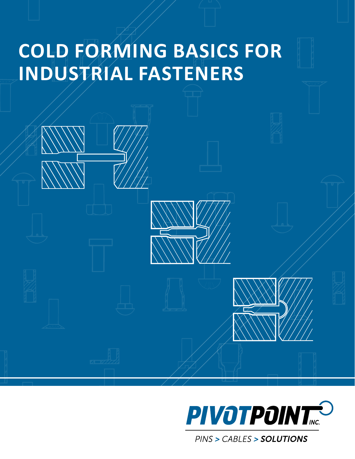# **Cold Forming Basics for Industrial Fasteners**





PINS > CABLES > SOLUTIONS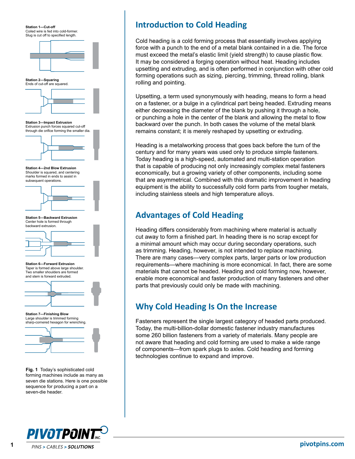**Station 1—Cut-off**  Coiled wire is fed into cold-former. Slug is cut off to specified length.



**Station 2—Squaring** Ends of cut-off are squared.

**Station 3—Impact Extrusion** Extrusion punch forces squared cut-off through die orifice forming the smaller dia.



**Station 4—2nd Blow Extrusion** Shoulder is squared, and centering marks formed in ends to assist in subsequent operations.



**Station 5—Backward Extrusion**  Center hole is formed through backward extrusion.



**Station 6—Forward Extrusion** Taper is formed above large shoulder. Two smaller shoulders are formed and stem is forward extruded.



**Station 7—Finishing Blow**  Large shoulder is trimmed forming sharp-cornered hexagon for wrenching.



**Fig. 1** Today's sophisticated cold forming machines include as many as seven die stations. Here is one possible sequence for producing a part on a seven-die header.

# **Introduction to Cold Heading**

Cold heading is a cold forming process that essentially involves applying force with a punch to the end of a metal blank contained in a die. The force must exceed the metal's elastic limit (yield strength) to cause plastic flow. It may be considered a forging operation without heat. Heading includes upsetting and extruding, and is often performed in conjunction with other cold forming operations such as sizing, piercing, trimming, thread rolling, blank rolling and pointing.

Upsetting, a term used synonymously with heading, means to form a head on a fastener, or a bulge in a cylindrical part being headed. Extruding means either decreasing the diameter of the blank by pushing it through a hole, or punching a hole in the center of the blank and allowing the metal to flow backward over the punch. In both cases the volume of the metal blank remains constant; it is merely reshaped by upsetting or extruding.

Heading is a metalworking process that goes back before the turn of the century and for many years was used only to produce simple fasteners. Today heading is a high-speed, automated and multi-station operation that is capable of producing not only increasingly complex metal fasteners economically, but a growing variety of other components, including some that are asymmetrical. Combined with this dramatic improvement in heading equipment is the ability to successfully cold form parts from tougher metals, including stainless steels and high temperature alloys.

### **Advantages of Cold Heading**

Heading differs considerably from machining where material is actually cut away to form a finished part. In heading there is no scrap except for a minimal amount which may occur during secondary operations, such as trimming. Heading, however, is not intended to replace machining. There are many cases—very complex parts, larger parts or low production requirements—where machining is more economical. In fact, there are some materials that cannot be headed. Heading and cold forming now, however, enable more economical and faster production of many fasteners and other parts that previously could only be made with machining.

# **Why Cold Heading Is On the Increase**

Fasteners represent the single largest category of headed parts produced. Today, the multi-billion-dollar domestic fastener industry manufactures some 260 billion fasteners from a variety of materials. Many people are not aware that heading and cold forming are used to make a wide range of components—from spark plugs to axles. Cold heading and forming technologies continue to expand and improve.

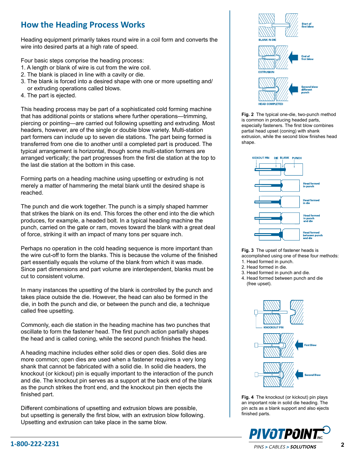### **How the Heading Process Works**

Heading equipment primarily takes round wire in a coil form and converts the wire into desired parts at a high rate of speed.

Four basic steps comprise the heading process:

- 1. A length or blank of wire is cut from the wire coil.
- 2. The blank is placed in line with a cavity or die.
- 3. The blank is forced into a desired shape with one or more upsetting and/ or extruding operations called blows.
- 4. The part is ejected.

This heading process may be part of a sophisticated cold forming machine that has additional points or stations where further operations—trimming, piercing or pointing—are carried out following upsetting and extruding. Most headers, however, are of the single or double blow variety. Multi-station part formers can include up to seven die stations. The part being formed is transferred from one die to another until a completed part is produced. The typical arrangement is horizontal, though some multi-station formers are arranged vertically; the part progresses from the first die station at the top to the last die station at the bottom in this case.

Forming parts on a heading machine using upsetting or extruding is not merely a matter of hammering the metal blank until the desired shape is reached.

The punch and die work together. The punch is a simply shaped hammer that strikes the blank on its end. This forces the other end into the die which produces, for example, a headed bolt. In a typical heading machine the punch, carried on the gate or ram, moves toward the blank with a great deal of force, striking it with an impact of many tons per square inch.

Perhaps no operation in the cold heading sequence is more important than the wire cut-off to form the blanks. This is because the volume of the finished part essentially equals the volume of the blank from which it was made. Since part dimensions and part volume are interdependent, blanks must be cut to consistent volume.

In many instances the upsetting of the blank is controlled by the punch and takes place outside the die. However, the head can also be formed in the die, in both the punch and die, or between the punch and die, a technique called free upsetting.

Commonly, each die station in the heading machine has two punches that oscillate to form the fastener head. The first punch action partially shapes the head and is called coning, while the second punch finishes the head.

A heading machine includes either solid dies or open dies. Solid dies are more common; open dies are used when a fastener requires a very long shank that cannot be fabricated with a solid die. In solid die headers, the knockout (or kickout) pin is equally important to the interaction of the punch and die. The knockout pin serves as a support at the back end of the blank as the punch strikes the front end, and the knockout pin then ejects the finished part.

Different combinations of upsetting and extrusion blows are possible, but upsetting is generally the first blow, with an extrusion blow following. Upsetting and extrusion can take place in the same blow.



**Fig. 2** The typical one-die, two-punch method is common in producing headed parts, especially fasteners. The first blow combines partial head upset (coning) with shank extrusion, while the second blow finishes head shape



**Fig. 3** The upset of fastener heads is accomplished using one of these four methods:

- 1. Head formed in punch.
- 2. Head formed in die.
- 3. Head formed in punch and die.
- 4. Head formed between punch and die (free upset).



**Fig. 4** The knockout (or kickout) pin plays an important role in solid die heading. The pin acts as a blank support and also ejects finished parts.

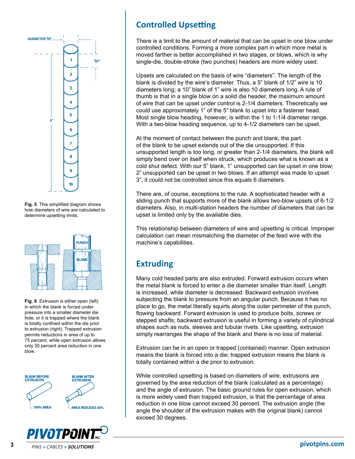

**Fig. 5** This simplified diagram shows how diameters of wire are calculated to determine upsetting limits.



**Fig. 6** Extrusion is either open (left) in which the blank is forced under pressure into a smaller diameter die hole, or it is trapped where the blank is totally confined within the die prior to extrusion (right). Trapped extrusion permits reductions in area of up to 75 percent, while open extrusion allows only 30 percent area reduction in one blow.





# **Controlled Upsetting**

There is a limit to the amount of material that can be upset in one blow under controlled conditions. Forming a more complex part in which more metal is moved farther is better accomplished in two stages, or blows, which is why single-die, double-stroke (two punches) headers are more widely used.

Upsets are calculated on the basis of wire "diameters". The length of the blank is divided by the wire's diameter. Thus, a 5" blank of 1/2" wire is 10 diameters long; a 10" blank of 1" wire is also 10 diameters long. A rule of thumb is that in a single blow on a solid die header, the maximum amount of wire that can be upset under control is 2-1/4 diameters. Theoretically we could use approximately 1" of the 5" blank to upset into a fastener head. Most single blow heading, however, is within the 1 to 1-1/4 diameter range. With a two-blow heading sequence, up to 4-1/2 diameters can be upset.

At the moment of contact between the punch and blank, the part of the blank to be upset extends out of the die unsupported. If this unsupported length is too long, or greater than 2-1/4 diameters, the blank will simply bend over on itself when struck, which produces what is known as a cold shut defect. With our 5" blank, 1" unsupported can be upset in one blow; 2" unsupported can be upset in two blows. If an attempt was made to upset 3", it could not be controlled since this equals 6 diameters.

There are, of course, exceptions to the rule. A sophisticated header with a sliding punch that supports more of the blank allows two-blow upsets of 6-1/2 diameters. Also, in multi-station headers the number of diameters that can be upset is limited only by the available dies.

This relationship between diameters of wire and upsetting is critical. Improper calculation can mean mismatching the diameter of the feed wire with the machine's capabilities.

# **Extruding**

Many cold headed parts are also extruded. Forward extrusion occurs when the metal blank is forced to enter a die diameter smaller than itself. Length is increased, while diameter is decreased. Backward extrusion involves subjecting the blank to pressure from an angular punch. Because it has no place to go, the metal literally squirts along the outer perimeter of the punch, flowing backward. Forward extrusion is used to produce bolts, screws or stepped shafts; backward extrusion is useful in forming a variety of cylindrical shapes such as nuts, sleeves and tubular rivets. Like upsetting, extrusion simply rearranges the shape of the blank and there is no loss of material.

Extrusion can be in an open or trapped (contained) manner. Open extrusion means the blank is forced into a die; trapped extrusion means the blank is totally contained within a die prior to extrusion.

While controlled upsetting is based on diameters of wire, extrusions are governed by the area reduction of the blank (calculated as a percentage) and the angle of extrusion. The basic ground rules for open extrusion, which is more widely used than trapped extrusion, is that the percentage of area reduction in one blow cannot exceed 30 percent. The extrusion angle (the angle the shoulder of the extrusion makes with the original blank) cannot exceed 30 degrees.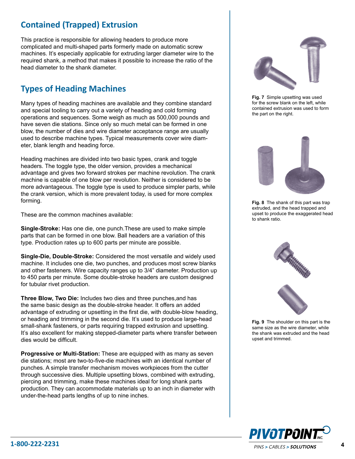# **Contained (Trapped) Extrusion**

This practice is responsible for allowing headers to produce more complicated and multi-shaped parts formerly made on automatic screw machines. It's especially applicable for extruding larger diameter wire to the required shank, a method that makes it possible to increase the ratio of the head diameter to the shank diameter.

#### **Types of Heading Machines**

Many types of heading machines are available and they combine standard and special tooling to carry out a variety of heading and cold forming operations and sequences. Some weigh as much as 500,000 pounds and have seven die stations. Since only so much metal can be formed in one blow, the number of dies and wire diameter acceptance range are usually used to describe machine types. Typical measurements cover wire diameter, blank length and heading force.

Heading machines are divided into two basic types, crank and toggle headers. The toggle type, the older version, provides a mechanical advantage and gives two forward strokes per machine revolution. The crank machine is capable of one blow per revolution. Neither is considered to be more advantageous. The toggle type is used to produce simpler parts, while the crank version, which is more prevalent today, is used for more complex forming.

These are the common machines available:

**Single-Stroke:** Has one die, one punch.These are used to make simple parts that can be formed in one blow. Ball headers are a variation of this type. Production rates up to 600 parts per minute are possible.

**Single-Die, Double-Stroke:** Considered the most versatile and widely used machine. It includes one die, two punches, and produces most screw blanks and other fasteners. Wire capacity ranges up to 3/4" diameter. Production up to 450 parts per minute. Some double-stroke headers are custom designed for tubular rivet production.

**Three Blow, Two Die:** Includes two dies and three punches,and has the same basic design as the double-stroke header. It offers an added advantage of extruding or upsetting in the first die, with double-blow heading, or heading and trimming in the second die. It's used to produce large-head small-shank fasteners, or parts requiring trapped extrusion and upsetting. It's also excellent for making stepped-diameter parts where transfer between dies would be difficult.

**Progressive or Multi-Station:** These are equipped with as many as seven die stations; most are two-to-five-die machines with an identical number of punches. A simple transfer mechanism moves workpieces from the cutter through successive dies. Multiple upsetting blows, combined with extruding, piercing and trimming, make these machines ideal for long shank parts production. They can accommodate materials up to an inch in diameter with under-the-head parts lengths of up to nine inches.



**Fig. 7** Simple upsetting was used for the screw blank on the left, while contained extrusion was used to form the part on the right.



**Fig. 8** The shank of this part was trap extruded, and the head trapped and upset to produce the exaggerated head to shank ratio.



**Fig. 9** The shoulder on this part is the same size as the wire diameter, while the shank was extruded and the head upset and trimmed.

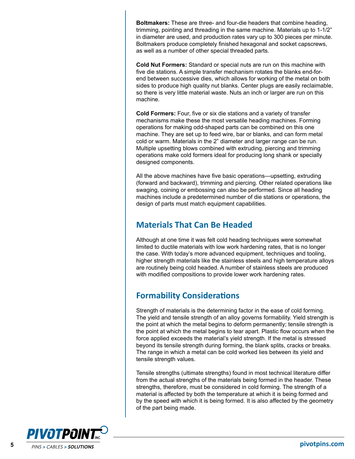**Boltmakers:** These are three- and four-die headers that combine heading, trimming, pointing and threading in the same machine. Materials up to 1-1/2" in diameter are used, and production rates vary up to 300 pieces per minute. Boltmakers produce completely finished hexagonal and socket capscrews, as well as a number of other special threaded parts.

**Cold Nut Formers:** Standard or special nuts are run on this machine with five die stations. A simple transfer mechanism rotates the blanks end-forend between successive dies, which allows for working of the metal on both sides to produce high quality nut blanks. Center plugs are easily reclaimable, so there is very little material waste. Nuts an inch or larger are run on this machine.

**Cold Formers:** Four, five or six die stations and a variety of transfer mechanisms make these the most versatile heading machines. Forming operations for making odd-shaped parts can be combined on this one machine. They are set up to feed wire, bar or blanks, and can form metal cold or warm. Materials in the 2" diameter and larger range can be run. Multiple upsetting blows combined with extruding, piercing and trimming operations make cold formers ideal for producing long shank or specially designed components.

All the above machines have five basic operations—upsetting, extruding (forward and backward), trimming and piercing. Other related operations like swaging, coining or embossing can also be performed. Since all heading machines include a predetermined number of die stations or operations, the design of parts must match equipment capabilities.

#### **Materials That Can Be Headed**

Although at one time it was felt cold heading techniques were somewhat limited to ductile materials with low work hardening rates, that is no longer the case. With today's more advanced equipment, techniques and tooling, higher strength materials like the stainless steels and high temperature alloys are routinely being cold headed. A number of stainless steels are produced with modified compositions to provide lower work hardening rates.

#### **Formability Considerations**

Strength of materials is the determining factor in the ease of cold forming. The yield and tensile strength of an alloy governs formability. Yield strength is the point at which the metal begins to deform permanently; tensile strength is the point at which the metal begins to tear apart. Plastic flow occurs when the force applied exceeds the material's yield strength. If the metal is stressed beyond its tensile strength during forming, the blank splits, cracks or breaks. The range in which a metal can be cold worked lies between its yield and tensile strength values.

Tensile strengths (ultimate strengths) found in most technical literature differ from the actual strengths of the materials being formed in the header. These strengths, therefore, must be considered in cold forming. The strength of a material is affected by both the temperature at which it is being formed and by the speed with which it is being formed. It is also affected by the geometry of the part being made.

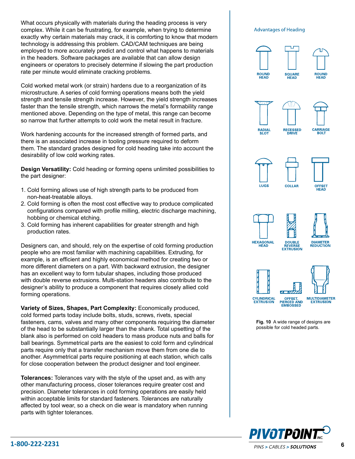What occurs physically with materials during the heading process is very complex. While it can be frustrating, for example, when trying to determine exactly why certain materials may crack, it is comforting to know that modern technology is addressing this problem. CAD/CAM techniques are being employed to more accurately predict and control what happens to materials in the headers. Software packages are available that can allow design engineers or operators to precisely determine if slowing the part production rate per minute would eliminate cracking problems.

Cold worked metal work (or strain) hardens due to a reorganization of its microstructure. A series of cold forming operations means both the yield strength and tensile strength increase. However, the yield strength increases faster than the tensile strength, which narrows the metal's formability range mentioned above. Depending on the type of metal, this range can become so narrow that further attempts to cold work the metal result in fracture.

Work hardening accounts for the increased strength of formed parts, and there is an associated increase in tooling pressure required to deform them. The standard grades designed for cold heading take into account the desirability of low cold working rates.

**Design Versatility:** Cold heading or forming opens unlimited possibilities to the part designer:

- 1. Cold forming allows use of high strength parts to be produced from non-heat-treatable alloys.
- 2. Cold forming is often the most cost effective way to produce complicated configurations compared with profile milling, electric discharge machining, hobbing or chemical etching.
- 3. Cold forming has inherent capabilities for greater strength and high production rates.

Designers can, and should, rely on the expertise of cold forming production people who are most familiar with machining capabilities. Extruding, for example, is an efficient and highly economical method for creating two or more different diameters on a part. With backward extrusion, the designer has an excellent way to form tubular shapes, including those produced with double reverse extrusions. Multi-station headers also contribute to the designer's ability to produce a component that requires closely allied cold forming operations.

**Variety of Sizes, Shapes, Part Complexity:** Economically produced, cold formed parts today include bolts, studs, screws, rivets, special fasteners, cams, valves and many other components requiring the diameter of the head to be substantially larger than the shank. Total upsetting of the blank also is performed on cold headers to mass produce nuts and balls for ball bearings. Symmetrical parts are the easiest to cold form and cylindrical parts require only that a transfer mechanism move them from one die to another. Asymmetrical parts require positioning at each station, which calls for close cooperation between the product designer and tool engineer.

**Tolerances:** Tolerances vary with the style of the upset and, as with any other manufacturing process, closer tolerances require greater cost and precision. Diameter tolerances in cold forming operations are easily held within acceptable limits for standard fasteners. Tolerances are naturally affected by tool wear, so a check on die wear is mandatory when running parts with tighter tolerances.







**Fig. 10** A wide range of designs are possible for cold headed parts.

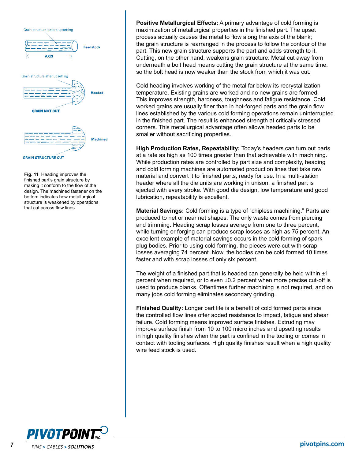

**Fig. 11** Heading improves the finished part's grain structure by making it conform to the flow of the design. The machined fastener on the bottom indicates how metallurgical structure is weakened by operations that cut across flow lines.

**Positive Metallurgical Effects:** A primary advantage of cold forming is maximization of metallurgical properties in the finished part. The upset process actually causes the metal to flow along the axis of the blank; the grain structure is rearranged in the process to follow the contour of the part. This new grain structure supports the part and adds strength to it. Cutting, on the other hand, weakens grain structure. Metal cut away from underneath a bolt head means cutting the grain structure at the same time, so the bolt head is now weaker than the stock from which it was cut.

Cold heading involves working of the metal far below its recrystallization temperature. Existing grains are worked and no new grains are formed. This improves strength, hardness, toughness and fatigue resistance. Cold worked grains are usually finer than in hot-forged parts and the grain flow lines established by the various cold forming operations remain uninterrupted in the finished part. The result is enhanced strength at critically stressed corners. This metallurgical advantage often allows headed parts to be smaller without sacrificing properties.

**High Production Rates, Repeatability:** Today's headers can turn out parts at a rate as high as 100 times greater than that achievable with machining. While production rates are controlled by part size and complexity, heading and cold forming machines are automated production lines that take raw material and convert it to finished parts, ready for use. In a multi-station header where all the die units are working in unison, a finished part is ejected with every stroke. With good die design, low temperature and good lubrication, repeatability is excellent.

**Material Savings:** Cold forming is a type of "chipless machining." Parts are produced to net or near net shapes. The only waste comes from piercing and trimming. Heading scrap losses average from one to three percent, while turning or forging can produce scrap losses as high as 75 percent. An excellent example of material savings occurs in the cold forming of spark plug bodies. Prior to using cold forming, the pieces were cut with scrap losses averaging 74 percent. Now, the bodies can be cold formed 10 times faster and with scrap losses of only six percent.

The weight of a finished part that is headed can generally be held within  $\pm 1$ percent when required, or to even ±0.2 percent when more precise cut-off is used to produce blanks. Oftentimes further machining is not required, and on many jobs cold forming eliminates secondary grinding.

**Finished Quality:** Longer part life is a benefit of cold formed parts since the controlled flow lines offer added resistance to impact, fatigue and shear failure. Cold forming means improved surface finishes. Extruding may improve surface finish from 10 to 100 micro inches and upsetting results in high quality finishes when the part is confined in the tooling or comes in contact with tooling surfaces. High quality finishes result when a high quality wire feed stock is used.

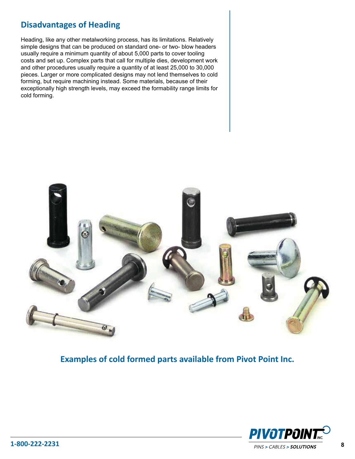#### **Disadvantages of Heading**

Heading, like any other metalworking process, has its limitations. Relatively simple designs that can be produced on standard one- or two- blow headers usually require a minimum quantity of about 5,000 parts to cover tooling costs and set up. Complex parts that call for multiple dies, development work and other procedures usually require a quantity of at least 25,000 to 30,000 pieces. Larger or more complicated designs may not lend themselves to cold forming, but require machining instead. Some materials, because of their exceptionally high strength levels, may exceed the formability range limits for cold forming.



**Examples of cold formed parts available from Pivot Point Inc.**